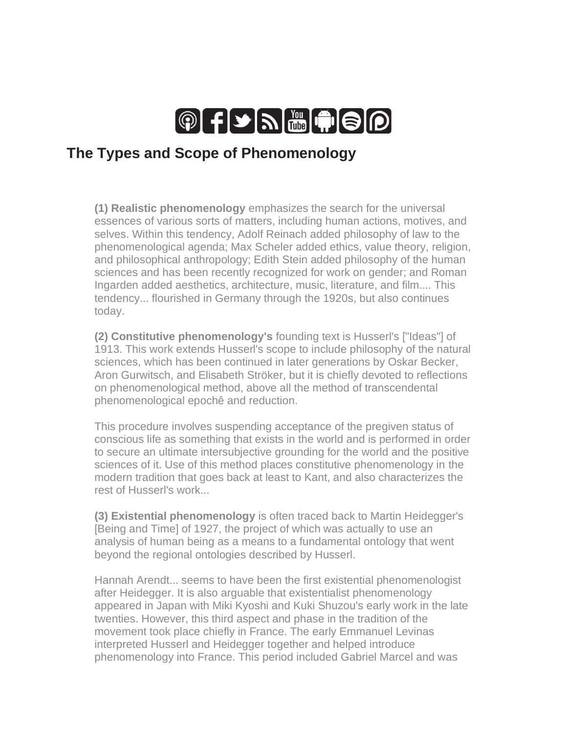

## **The Types and Scope of Phenomenology**

**(1) Realistic phenomenology** emphasizes the search for the universal essences of various sorts of matters, including human actions, motives, and selves. Within this tendency, Adolf Reinach added philosophy of law to the phenomenological agenda; Max Scheler added ethics, value theory, religion, and philosophical anthropology; Edith Stein added philosophy of the human sciences and has been recently recognized for work on gender; and Roman Ingarden added aesthetics, architecture, music, literature, and film.... This tendency... flourished in Germany through the 1920s, but also continues today.

**(2) Constitutive phenomenology's** founding text is Husserl's ["Ideas"] of 1913. This work extends Husserl's scope to include philosophy of the natural sciences, which has been continued in later generations by Oskar Becker, Aron Gurwitsch, and Elisabeth Ströker, but it is chiefly devoted to reflections on phenomenological method, above all the method of transcendental phenomenological epochê and reduction.

This procedure involves suspending acceptance of the pregiven status of conscious life as something that exists in the world and is performed in order to secure an ultimate intersubjective grounding for the world and the positive sciences of it. Use of this method places constitutive phenomenology in the modern tradition that goes back at least to Kant, and also characterizes the rest of Husserl's work...

**(3) Existential phenomenology** is often traced back to Martin Heidegger's [Being and Time] of 1927, the project of which was actually to use an analysis of human being as a means to a fundamental ontology that went beyond the regional ontologies described by Husserl.

Hannah Arendt... seems to have been the first existential phenomenologist after Heidegger. It is also arguable that existentialist phenomenology appeared in Japan with Miki Kyoshi and Kuki Shuzou's early work in the late twenties. However, this third aspect and phase in the tradition of the movement took place chiefly in France. The early Emmanuel Levinas interpreted Husserl and Heidegger together and helped introduce phenomenology into France. This period included Gabriel Marcel and was